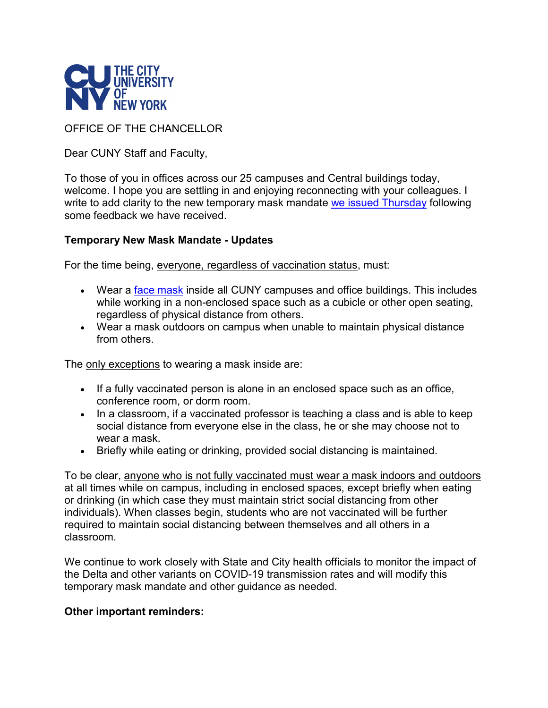

OFFICE OF THE CHANCELLOR

Dear CUNY Staff and Faculty,

To those of you in offices across our 25 campuses and Central buildings today, welcome. I hope you are settling in and enjoying reconnecting with your colleagues. I write to add clarity to the new temporary mask mandate [we issued Thursday](https://maestro.cuny.edu/trk/click?ref=zqtbwp23f_2-1uc942a-0-2206x385a7x0T2d2mcAj2U&) following some feedback we have received.

## **Temporary New Mask Mandate - Updates**

For the time being, everyone, regardless of vaccination status, must:

- Wear a [face mask](https://maestro.cuny.edu/trk/click?ref=zqtbwp23f_2-1uc942a-0-2206x385a8x0T2d2mcAj2U&) inside all CUNY campuses and office buildings. This includes while working in a non-enclosed space such as a cubicle or other open seating, regardless of physical distance from others.
- Wear a mask outdoors on campus when unable to maintain physical distance from others.

The only exceptions to wearing a mask inside are:

- If a fully vaccinated person is alone in an enclosed space such as an office, conference room, or dorm room.
- In a classroom, if a vaccinated professor is teaching a class and is able to keep social distance from everyone else in the class, he or she may choose not to wear a mask.
- Briefly while eating or drinking, provided social distancing is maintained.

To be clear, anyone who is not fully vaccinated must wear a mask indoors and outdoors at all times while on campus, including in enclosed spaces, except briefly when eating or drinking (in which case they must maintain strict social distancing from other individuals). When classes begin, students who are not vaccinated will be further required to maintain social distancing between themselves and all others in a classroom.

We continue to work closely with State and City health officials to monitor the impact of the Delta and other variants on COVID-19 transmission rates and will modify this temporary mask mandate and other guidance as needed.

## **Other important reminders:**